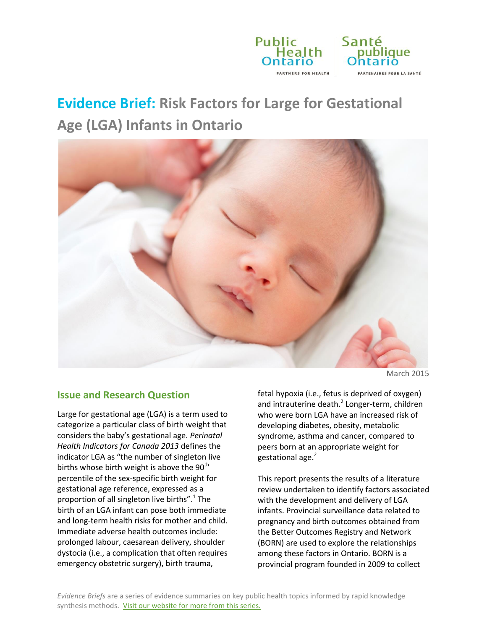

# **Evidence Brief: Risk Factors for Large for Gestational Age (LGA) Infants in Ontario**



March 2015

### **Issue and Research Question**

Large for gestational age (LGA) is a term used to categorize a particular class of birth weight that considers the baby's gestational age*. Perinatal Health Indicators for Canada 2013* defines the indicator LGA as "the number of singleton live births whose birth weight is above the  $90<sup>th</sup>$ percentile of the sex-specific birth weight for gestational age reference, expressed as a proportion of all singleton live births".<sup>1</sup> The birth of an LGA infant can pose both immediate and long-term health risks for mother and child. Immediate adverse health outcomes include: prolonged labour, caesarean delivery, shoulder dystocia (i.e., a complication that often requires emergency obstetric surgery), birth trauma,

fetal hypoxia (i.e., fetus is deprived of oxygen) and intrauterine death.<sup>2</sup> Longer-term, children who were born LGA have an increased risk of developing diabetes, obesity, metabolic syndrome, asthma and cancer, compared to peers born at an appropriate weight for gestational age.<sup>2</sup>

This report presents the results of a literature review undertaken to identify factors associated with the development and delivery of LGA infants. Provincial surveillance data related to pregnancy and birth outcomes obtained from the Better Outcomes Registry and Network (BORN) are used to explore the relationships among these factors in Ontario. BORN is a provincial program founded in 2009 to collect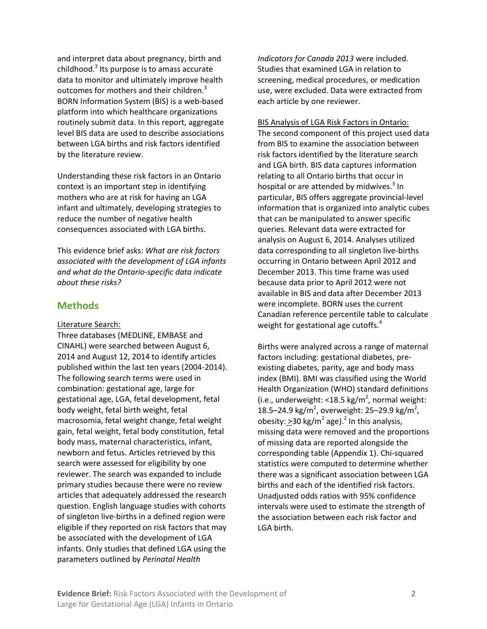and interpret data about pregnancy, birth and childhood.<sup>3</sup> Its purpose is to amass accurate data to monitor and ultimately improve health outcomes for mothers and their children.<sup>3</sup> BORN Information System (BIS) is a web-based platform into which healthcare organizations routinely submit data. In this report, aggregate level BIS data are used to describe associations between LGA births and risk factors identified by the literature review.

Understanding these risk factors in an Ontario context is an important step in identifying mothers who are at risk for having an LGA infant and ultimately, developing strategies to reduce the number of negative health consequences associated with LGA births.

This evidence brief asks: *What are risk factors associated with the development of LGA infants and what do the Ontario-specific data indicate about these risks?*

### **Methods**

Literature Search:

Three databases (MEDLINE, EMBASE and CINAHL) were searched between August 6, 2014 and August 12, 2014 to identify articles published within the last ten years (2004-2014). The following search terms were used in combination: gestational age, large for gestational age, LGA, fetal development, fetal body weight, fetal birth weight, fetal macrosomia, fetal weight change, fetal weight gain, fetal weight, fetal body constitution, fetal body mass, maternal characteristics, infant, newborn and fetus. Articles retrieved by this search were assessed for eligibility by one reviewer. The search was expanded to include primary studies because there were no review articles that adequately addressed the research question. English language studies with cohorts of singleton live-births in a defined region were eligible if they reported on risk factors that may be associated with the development of LGA infants. Only studies that defined LGA using the parameters outlined by *Perinatal Health* 

*Indicators for Canada 2013* were included. Studies that examined LGA in relation to screening, medical procedures, or medication use, were excluded. Data were extracted from each article by one reviewer.

BIS Analysis of LGA Risk Factors in Ontario: The second component of this project used data from BIS to examine the association between risk factors identified by the literature search and LGA birth. BIS data captures information relating to all Ontario births that occur in hospital or are attended by midwives. $3$  In particular, BIS offers aggregate provincial-level information that is organized into analytic cubes that can be manipulated to answer specific queries. Relevant data were extracted for analysis on August 6, 2014. Analyses utilized data corresponding to all singleton live-births occurring in Ontario between April 2012 and December 2013. This time frame was used because data prior to April 2012 were not available in BIS and data after December 2013 were incomplete. BORN uses the current Canadian reference percentile table to calculate weight for gestational age cutoffs. $4$ 

Births were analyzed across a range of maternal factors including: gestational diabetes, preexisting diabetes, parity, age and body mass index (BMI). BMI was classified using the World Health Organization (WHO) standard definitions (i.e., underweight: <18.5 kg/m<sup>2</sup>, normal weight: 18.5–24.9 kg/m<sup>2</sup>, overweight: 25–29.9 kg/m<sup>2</sup>, obesity:  $\geq$ 30 kg/m<sup>2</sup> age).<sup>2</sup> In this analysis, missing data were removed and the proportions of missing data are reported alongside the corresponding table (Appendix 1). Chi-squared statistics were computed to determine whether there was a significant association between LGA births and each of the identified risk factors. Unadjusted odds ratios with 95% confidence intervals were used to estimate the strength of the association between each risk factor and LGA birth.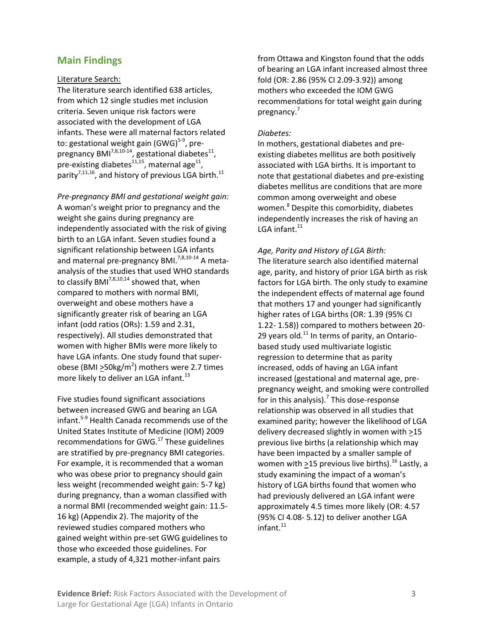### **Main Findings**

#### Literature Search:

The literature search identified 638 articles, from which 12 single studies met inclusion criteria. Seven unique risk factors were associated with the development of LGA infants. These were all maternal factors related to: gestational weight gain (GWG)<sup>5-9</sup>, prepregnancy BMI<sup>7,8,10-14</sup>, gestational diabetes<sup>11</sup>, pre-existing diabetes $^{11,15}$ , maternal age $^{11}$ , parity<sup>7,11,16</sup>, and history of previous LGA birth.<sup>11</sup>

*Pre-pregnancy BMI and gestational weight gain:* A woman's weight prior to pregnancy and the weight she gains during pregnancy are independently associated with the risk of giving birth to an LGA infant. Seven studies found a significant relationship between LGA infants and maternal pre-pregnancy BMI. $^{7,8,10-14}$  A metaanalysis of the studies that used WHO standards to classify BMI<sup>7,8,10,14</sup> showed that, when compared to mothers with normal BMI, overweight and obese mothers have a significantly greater risk of bearing an LGA infant (odd ratios (ORs): 1.59 and 2.31, respectively). All studies demonstrated that women with higher BMIs were more likely to have LGA infants. One study found that superobese (BMI  $\geq$ 50kg/m<sup>2</sup>) mothers were 2.7 times more likely to deliver an LGA infant.<sup>13</sup>

Five studies found significant associations between increased GWG and bearing an LGA infant.<sup>5-9</sup> Health Canada recommends use of the United States Institute of Medicine (IOM) 2009 recommendations for GWG.<sup>17</sup> These guidelines are stratified by pre-pregnancy BMI categories. For example, it is recommended that a woman who was obese prior to pregnancy should gain less weight (recommended weight gain: 5-7 kg) during pregnancy, than a woman classified with a normal BMI (recommended weight gain: 11.5- 16 kg) (Appendix 2). The majority of the reviewed studies compared mothers who gained weight within pre-set GWG guidelines to those who exceeded those guidelines. For example, a study of 4,321 mother-infant pairs

from Ottawa and Kingston found that the odds of bearing an LGA infant increased almost three fold (OR: 2.86 (95% CI 2.09-3.92)) among mothers who exceeded the IOM GWG recommendations for total weight gain during pregnancy.<sup>7</sup>

#### *Diabetes:*

In mothers, gestational diabetes and preexisting diabetes mellitus are both positively associated with LGA births. It is important to note that gestational diabetes and pre-existing diabetes mellitus are conditions that are more common among overweight and obese women.<sup>8</sup> Despite this comorbidity, diabetes independently increases the risk of having an LGA infant. $^{11}$ 

#### *Age, Parity and History of LGA Birth:*

The literature search also identified maternal age, parity, and history of prior LGA birth as risk factors for LGA birth. The only study to examine the independent effects of maternal age found that mothers 17 and younger had significantly higher rates of LGA births (OR: 1*.*39 (95% CI 1*.*22*-* 1*.*58)) compared to mothers between 20- 29 years old. $^{11}$  In terms of parity, an Ontariobased study used multivariate logistic regression to determine that as parity increased, odds of having an LGA infant increased (gestational and maternal age, prepregnancy weight, and smoking were controlled for in this analysis).<sup>7</sup> This dose-response relationship was observed in all studies that examined parity; however the likelihood of LGA delivery decreased slightly in women with  $\geq$ 15 previous live births (a relationship which may have been impacted by a smaller sample of women with  $\geq$ 15 previous live births).<sup>16</sup> Lastly, a study examining the impact of a woman's history of LGA births found that women who had previously delivered an LGA infant were approximately 4.5 times more likely (OR: 4*.*57 (95% CI 4*.*08*-* 5*.*12) to deliver another LGA  $infant.<sup>11</sup>$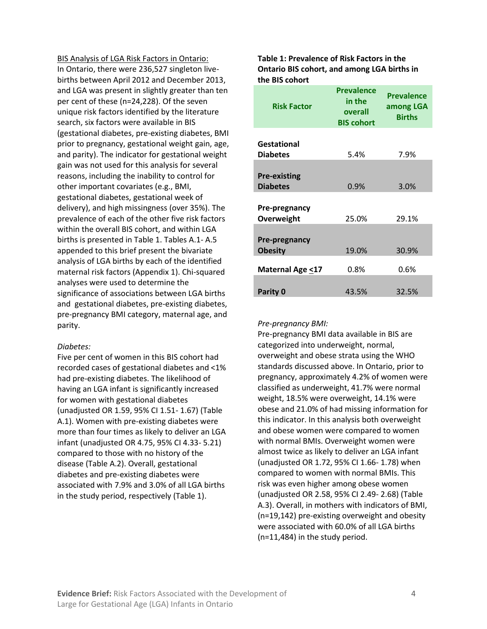BIS Analysis of LGA Risk Factors in Ontario: In Ontario, there were 236,527 singleton livebirths between April 2012 and December 2013, and LGA was present in slightly greater than ten per cent of these (n=24,228). Of the seven unique risk factors identified by the literature search, six factors were available in BIS (gestational diabetes, pre-existing diabetes, BMI prior to pregnancy, gestational weight gain, age, and parity). The indicator for gestational weight gain was not used for this analysis for several reasons, including the inability to control for other important covariates (e.g., BMI, gestational diabetes, gestational week of delivery), and high missingness (over 35%). The prevalence of each of the other five risk factors within the overall BIS cohort, and within LGA births is presented in Table 1. Tables A.1- A.5 appended to this brief present the bivariate analysis of LGA births by each of the identified maternal risk factors (Appendix 1). Chi-squared analyses were used to determine the significance of associations between LGA births and gestational diabetes, pre-existing diabetes, pre-pregnancy BMI category, maternal age, and parity.

#### *Diabetes:*

Five per cent of women in this BIS cohort had recorded cases of gestational diabetes and <1% had pre-existing diabetes. The likelihood of having an LGA infant is significantly increased for women with gestational diabetes (unadjusted OR 1.59, 95% CI 1.51- 1.67) (Table A.1). Women with pre-existing diabetes were more than four times as likely to deliver an LGA infant (unadjusted OR 4.75, 95% CI 4.33- 5.21) compared to those with no history of the disease (Table A.2). Overall, gestational diabetes and pre-existing diabetes were associated with 7.9% and 3.0% of all LGA births in the study period, respectively (Table 1).

#### **Table 1: Prevalence of Risk Factors in the Ontario BIS cohort, and among LGA births in the BIS cohort**

| <b>Risk Factor</b>                     | <b>Prevalence</b><br>in the<br>overall<br><b>BIS cohort</b> | <b>Prevalence</b><br>among LGA<br><b>Births</b> |
|----------------------------------------|-------------------------------------------------------------|-------------------------------------------------|
|                                        |                                                             |                                                 |
| Gestational<br><b>Diabetes</b>         | 5.4%                                                        | 7.9%                                            |
|                                        |                                                             |                                                 |
| <b>Pre-existing</b><br><b>Diabetes</b> | 0.9%                                                        | 3.0%                                            |
|                                        |                                                             |                                                 |
| Pre-pregnancy<br>Overweight            | 25.0%                                                       | 29.1%                                           |
|                                        |                                                             |                                                 |
| Pre-pregnancy<br><b>Obesity</b>        | 19.0%                                                       | 30.9%                                           |
| <b>Maternal Age &lt;17</b>             | 0.8%                                                        | 0.6%                                            |
| Parity 0                               | 43.5%                                                       | 32.5%                                           |

#### *Pre-pregnancy BMI:*

Pre-pregnancy BMI data available in BIS are categorized into underweight, normal, overweight and obese strata using the WHO standards discussed above. In Ontario, prior to pregnancy, approximately 4.2% of women were classified as underweight, 41.7% were normal weight, 18.5% were overweight, 14.1% were obese and 21.0% of had missing information for this indicator. In this analysis both overweight and obese women were compared to women with normal BMIs. Overweight women were almost twice as likely to deliver an LGA infant (unadjusted OR 1.72, 95% CI 1.66- 1.78) when compared to women with normal BMIs. This risk was even higher among obese women (unadjusted OR 2.58, 95% CI 2.49- 2.68) (Table A.3). Overall, in mothers with indicators of BMI, (n=19,142) pre-existing overweight and obesity were associated with 60.0% of all LGA births (n=11,484) in the study period.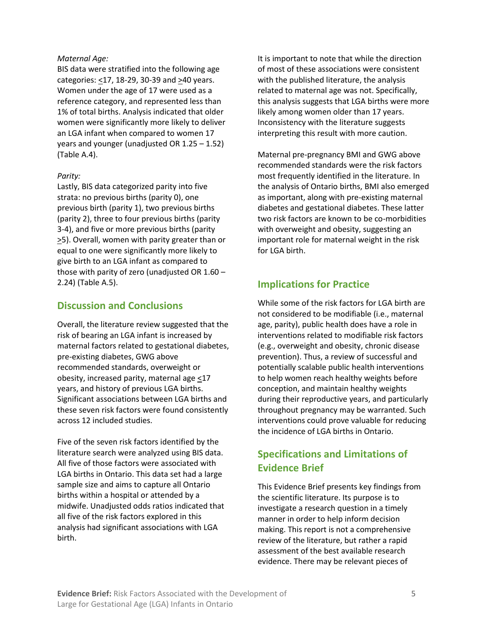#### *Maternal Age:*

BIS data were stratified into the following age categories: <17, 18-29, 30-39 and >40 years. Women under the age of 17 were used as a reference category, and represented less than 1% of total births. Analysis indicated that older women were significantly more likely to deliver an LGA infant when compared to women 17 years and younger (unadjusted OR 1.25 – 1.52) (Table A.4).

### *Parity:*

Lastly, BIS data categorized parity into five strata: no previous births (parity 0), one previous birth (parity 1), two previous births (parity 2), three to four previous births (parity 3-4), and five or more previous births (parity >5). Overall, women with parity greater than or equal to one were significantly more likely to give birth to an LGA infant as compared to those with parity of zero (unadjusted OR 1.60 – 2.24) (Table A.5).

### **Discussion and Conclusions**

Overall, the literature review suggested that the risk of bearing an LGA infant is increased by maternal factors related to gestational diabetes, pre-existing diabetes, GWG above recommended standards, overweight or obesity, increased parity, maternal age <17 years, and history of previous LGA births. Significant associations between LGA births and these seven risk factors were found consistently across 12 included studies.

Five of the seven risk factors identified by the literature search were analyzed using BIS data. All five of those factors were associated with LGA births in Ontario. This data set had a large sample size and aims to capture all Ontario births within a hospital or attended by a midwife. Unadjusted odds ratios indicated that all five of the risk factors explored in this analysis had significant associations with LGA birth.

It is important to note that while the direction of most of these associations were consistent with the published literature, the analysis related to maternal age was not. Specifically, this analysis suggests that LGA births were more likely among women older than 17 years. Inconsistency with the literature suggests interpreting this result with more caution.

Maternal pre-pregnancy BMI and GWG above recommended standards were the risk factors most frequently identified in the literature. In the analysis of Ontario births, BMI also emerged as important, along with pre-existing maternal diabetes and gestational diabetes. These latter two risk factors are known to be co-morbidities with overweight and obesity, suggesting an important role for maternal weight in the risk for LGA birth.

## **Implications for Practice**

While some of the risk factors for LGA birth are not considered to be modifiable (i.e., maternal age, parity), public health does have a role in interventions related to modifiable risk factors (e.g., overweight and obesity, chronic disease prevention). Thus, a review of successful and potentially scalable public health interventions to help women reach healthy weights before conception, and maintain healthy weights during their reproductive years, and particularly throughout pregnancy may be warranted. Such interventions could prove valuable for reducing the incidence of LGA births in Ontario.

## **Specifications and Limitations of Evidence Brief**

This Evidence Brief presents key findings from the scientific literature. Its purpose is to investigate a research question in a timely manner in order to help inform decision making. This report is not a comprehensive review of the literature, but rather a rapid assessment of the best available research evidence. There may be relevant pieces of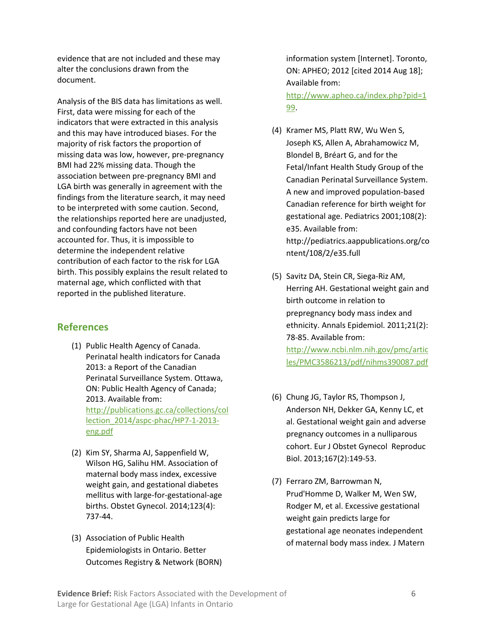evidence that are not included and these may alter the conclusions drawn from the document.

Analysis of the BIS data has limitations as well. First, data were missing for each of the indicators that were extracted in this analysis and this may have introduced biases. For the majority of risk factors the proportion of missing data was low, however, pre-pregnancy BMI had 22% missing data. Though the association between pre-pregnancy BMI and LGA birth was generally in agreement with the findings from the literature search, it may need to be interpreted with some caution. Second, the relationships reported here are unadjusted, and confounding factors have not been accounted for. Thus, it is impossible to determine the independent relative contribution of each factor to the risk for LGA birth. This possibly explains the result related to maternal age, which conflicted with that reported in the published literature.

### **References**

- (1) Public Health Agency of Canada. Perinatal health indicators for Canada 2013: a Report of the Canadian Perinatal Surveillance System. Ottawa, ON: Public Health Agency of Canada; 2013. Available from: [http://publications.gc.ca/collections/col](http://publications.gc.ca/collections/collection_2014/aspc-phac/HP7-1-2013-eng.pdf) [lection\\_2014/aspc-phac/HP7-1-2013](http://publications.gc.ca/collections/collection_2014/aspc-phac/HP7-1-2013-eng.pdf) [eng.pdf](http://publications.gc.ca/collections/collection_2014/aspc-phac/HP7-1-2013-eng.pdf)
- (2) Kim SY, Sharma AJ, Sappenfield W, Wilson HG, Salihu HM. Association of maternal body mass index, excessive weight gain, and gestational diabetes mellitus with large-for-gestational-age births. Obstet Gynecol. 2014;123(4): 737-44.
- (3) Association of Public Health Epidemiologists in Ontario. Better Outcomes Registry & Network (BORN)

information system [Internet]. Toronto, ON: APHEO; 2012 [cited 2014 Aug 18]; Available from:

[http://www.apheo.ca/index.php?pid=1](http://www.apheo.ca/index.php?pid=199) [99.](http://www.apheo.ca/index.php?pid=199)

- (4) Kramer MS, Platt RW, Wu Wen S, Joseph KS, Allen A, Abrahamowicz M, Blondel B, Bréart G, and for the Fetal/Infant Health Study Group of the Canadian Perinatal Surveillance System. A new and improved population-based Canadian reference for birth weight for gestational age. Pediatrics 2001;108(2): e35. Available from: http://pediatrics.aappublications.org/co ntent/108/2/e35.full
- (5) Savitz DA, Stein CR, Siega-Riz AM, Herring AH. Gestational weight gain and birth outcome in relation to prepregnancy body mass index and ethnicity. Annals Epidemiol. 2011;21(2): 78-85. Available from: [http://www.ncbi.nlm.nih.gov/pmc/artic](http://www.ncbi.nlm.nih.gov/pmc/articles/PMC3586213/pdf/nihms390087.pdf) [les/PMC3586213/pdf/nihms390087.pdf](http://www.ncbi.nlm.nih.gov/pmc/articles/PMC3586213/pdf/nihms390087.pdf)
- (6) Chung JG, Taylor RS, Thompson J, Anderson NH, Dekker GA, Kenny LC, et al. Gestational weight gain and adverse pregnancy outcomes in a nulliparous cohort. Eur J Obstet Gynecol Reproduc Biol. 2013;167(2):149-53.
- (7) Ferraro ZM, Barrowman N, Prud'Homme D, Walker M, Wen SW, Rodger M, et al. Excessive gestational weight gain predicts large for gestational age neonates independent of maternal body mass index. J Matern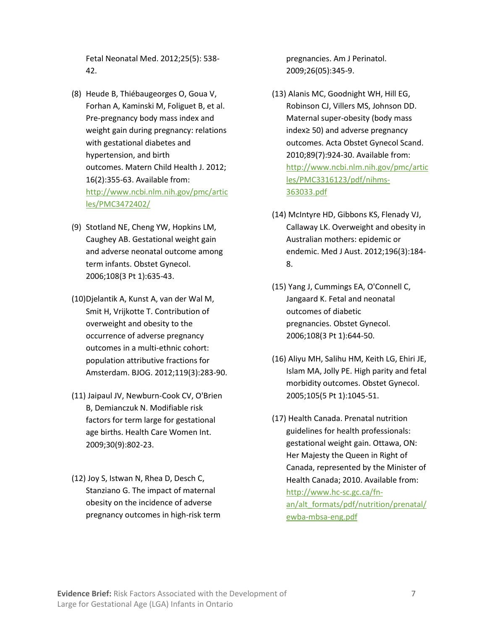Fetal Neonatal Med. 2012;25(5): 538- 42.

- (8) Heude B, Thiébaugeorges O, Goua V, Forhan A, Kaminski M, Foliguet B, et al. Pre-pregnancy body mass index and weight gain during pregnancy: relations with gestational diabetes and hypertension, and birth outcomes. Matern Child Health J. 2012; 16(2):355-63. Available from: [http://www.ncbi.nlm.nih.gov/pmc/artic](http://www.ncbi.nlm.nih.gov/pmc/articles/PMC3472402/) [les/PMC3472402/](http://www.ncbi.nlm.nih.gov/pmc/articles/PMC3472402/)
- (9) Stotland NE, Cheng YW, Hopkins LM, Caughey AB. Gestational weight gain and adverse neonatal outcome among term infants. Obstet Gynecol. 2006;108(3 Pt 1):635-43.
- (10)Djelantik A, Kunst A, van der Wal M, Smit H, Vrijkotte T. Contribution of overweight and obesity to the occurrence of adverse pregnancy outcomes in a multi‐ethnic cohort: population attributive fractions for Amsterdam. BJOG. 2012;119(3):283-90.
- (11) Jaipaul JV, Newburn-Cook CV, O'Brien B, Demianczuk N. Modifiable risk factors for term large for gestational age births. Health Care Women Int. 2009;30(9):802-23.
- (12) Joy S, Istwan N, Rhea D, Desch C, Stanziano G. The impact of maternal obesity on the incidence of adverse pregnancy outcomes in high-risk term

pregnancies. Am J Perinatol. 2009;26(05):345-9.

- (13) Alanis MC, Goodnight WH, Hill EG, Robinson CJ, Villers MS, Johnson DD. Maternal super‐obesity (body mass index≥ 50) and adverse pregnancy outcomes. Acta Obstet Gynecol Scand. 2010;89(7):924-30. Available from: [http://www.ncbi.nlm.nih.gov/pmc/artic](http://www.ncbi.nlm.nih.gov/pmc/articles/PMC3316123/pdf/nihms-363033.pdf) [les/PMC3316123/pdf/nihms-](http://www.ncbi.nlm.nih.gov/pmc/articles/PMC3316123/pdf/nihms-363033.pdf)[363033.pdf](http://www.ncbi.nlm.nih.gov/pmc/articles/PMC3316123/pdf/nihms-363033.pdf)
- (14) McIntyre HD, Gibbons KS, Flenady VJ, Callaway LK. Overweight and obesity in Australian mothers: epidemic or endemic. Med J Aust. 2012;196(3):184- 8.
- (15) Yang J, Cummings EA, O'Connell C, Jangaard K. Fetal and neonatal outcomes of diabetic pregnancies. Obstet Gynecol. 2006;108(3 Pt 1):644-50.
- (16) Aliyu MH, Salihu HM, Keith LG, Ehiri JE, Islam MA, Jolly PE. High parity and fetal morbidity outcomes. Obstet Gynecol. 2005;105(5 Pt 1):1045-51.
- (17) Health Canada. Prenatal nutrition guidelines for health professionals: gestational weight gain. Ottawa, ON: Her Majesty the Queen in Right of Canada, represented by the Minister of Health Canada; 2010. Available from: [http://www.hc-sc.gc.ca/fn](http://www.hc-sc.gc.ca/fn-an/alt_formats/pdf/nutrition/prenatal/ewba-mbsa-eng.pdf)[an/alt\\_formats/pdf/nutrition/prenatal/](http://www.hc-sc.gc.ca/fn-an/alt_formats/pdf/nutrition/prenatal/ewba-mbsa-eng.pdf) [ewba-mbsa-eng.pdf](http://www.hc-sc.gc.ca/fn-an/alt_formats/pdf/nutrition/prenatal/ewba-mbsa-eng.pdf)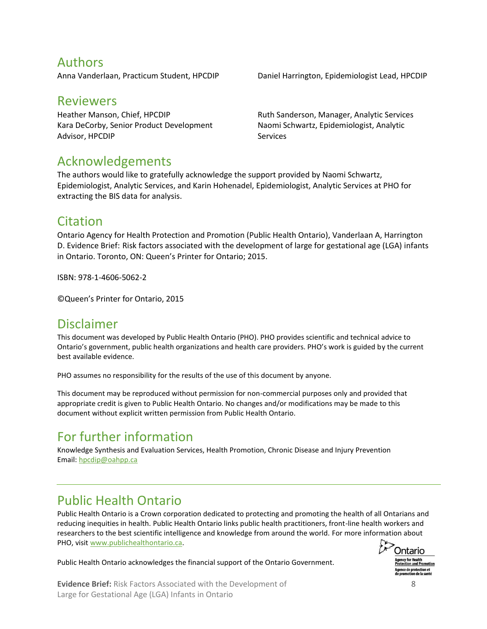## Authors

## Reviewers

Heather Manson, Chief, HPCDIP Kara DeCorby, Senior Product Development Advisor, HPCDIP

Anna Vanderlaan, Practicum Student, HPCDIP Daniel Harrington, Epidemiologist Lead, HPCDIP

Ruth Sanderson, Manager, Analytic Services Naomi Schwartz, Epidemiologist, Analytic Services

## Acknowledgements

The authors would like to gratefully acknowledge the support provided by Naomi Schwartz, Epidemiologist, Analytic Services, and Karin Hohenadel, Epidemiologist, Analytic Services at PHO for extracting the BIS data for analysis.

## Citation

Ontario Agency for Health Protection and Promotion (Public Health Ontario), Vanderlaan A, Harrington D. Evidence Brief: Risk factors associated with the development of large for gestational age (LGA) infants in Ontario. Toronto, ON: Queen's Printer for Ontario; 2015.

ISBN: 978-1-4606-5062-2

©Queen's Printer for Ontario, 2015

## Disclaimer

This document was developed by Public Health Ontario (PHO). PHO provides scientific and technical advice to Ontario's government, public health organizations and health care providers. PHO's work is guided by the current best available evidence.

PHO assumes no responsibility for the results of the use of this document by anyone.

This document may be reproduced without permission for non-commercial purposes only and provided that appropriate credit is given to Public Health Ontario. No changes and/or modifications may be made to this document without explicit written permission from Public Health Ontario.

## For further information

Knowledge Synthesis and Evaluation Services, Health Promotion, Chronic Disease and Injury Prevention Email: [hpcdip@oahpp.ca](mailto:hpcdip@oahpp.ca)

## Public Health Ontario

Public Health Ontario is a Crown corporation dedicated to protecting and promoting the health of all Ontarians and reducing inequities in health. Public Health Ontario links public health practitioners, front-line health workers and researchers to the best scientific intelligence and knowledge from around the world. For more information about PHO, visit [www.publichealthontario.ca.](http://www.publichealthontario.ca/)



Public Health Ontario acknowledges the financial support of the Ontario Government.

**Evidence Brief:** Risk Factors Associated with the Development of 8 Large for Gestational Age (LGA) Infants in Ontario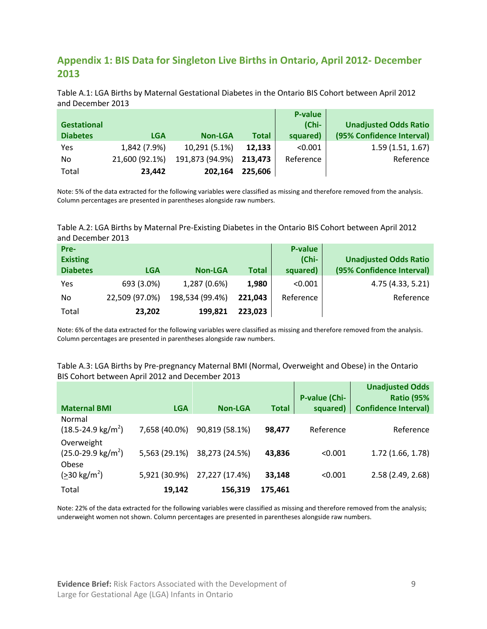## **Appendix 1: BIS Data for Singleton Live Births in Ontario, April 2012- December 2013**

Table A.1: LGA Births by Maternal Gestational Diabetes in the Ontario BIS Cohort between April 2012 and December 2013

|                    |                |                 |              | P-value   |                              |
|--------------------|----------------|-----------------|--------------|-----------|------------------------------|
| <b>Gestational</b> |                |                 |              | $(Chi-$   | <b>Unadjusted Odds Ratio</b> |
| <b>Diabetes</b>    | <b>LGA</b>     | <b>Non-LGA</b>  | <b>Total</b> | squared)  | (95% Confidence Interval)    |
| Yes                | 1,842 (7.9%)   | 10,291 (5.1%)   | 12,133       | < 0.001   | 1.59(1.51, 1.67)             |
| No.                | 21,600 (92.1%) | 191,873 (94.9%) | 213,473      | Reference | Reference                    |
| Total              | 23.442         | 202,164         | 225,606      |           |                              |

Note: 5% of the data extracted for the following variables were classified as missing and therefore removed from the analysis. Column percentages are presented in parentheses alongside raw numbers.

#### Table A.2: LGA Births by Maternal Pre-Existing Diabetes in the Ontario BIS Cohort between April 2012 and December 2013

| Pre-            |                |                 |              | <b>P-value</b> |                              |
|-----------------|----------------|-----------------|--------------|----------------|------------------------------|
| <b>Existing</b> |                |                 |              | (Chi-          | <b>Unadjusted Odds Ratio</b> |
| <b>Diabetes</b> | <b>LGA</b>     | <b>Non-LGA</b>  | <b>Total</b> | squared)       | (95% Confidence Interval)    |
| Yes             | 693 (3.0%)     | 1,287 (0.6%)    | 1,980        | < 0.001        | 4.75 (4.33, 5.21)            |
| No              | 22,509 (97.0%) | 198,534 (99.4%) | 221,043      | Reference      | Reference                    |
| Total           | 23,202         | 199,821         | 223,023      |                |                              |

Note: 6% of the data extracted for the following variables were classified as missing and therefore removed from the analysis. Column percentages are presented in parentheses alongside raw numbers.

#### Table A.3: LGA Births by Pre-pregnancy Maternal BMI (Normal, Overweight and Obese) in the Ontario BIS Cohort between April 2012 and December 2013

|                                                     |               |                |              |                      | <b>Unadjusted Odds</b>      |
|-----------------------------------------------------|---------------|----------------|--------------|----------------------|-----------------------------|
|                                                     |               |                |              | <b>P-value (Chi-</b> | <b>Ratio (95%</b>           |
| <b>Maternal BMI</b>                                 | <b>LGA</b>    | <b>Non-LGA</b> | <b>Total</b> | squared)             | <b>Confidence Interval)</b> |
| Normal<br>$(18.5 - 24.9 \text{ kg/m}^2)$            | 7,658 (40.0%) | 90,819 (58.1%) | 98.477       | Reference            | Reference                   |
| Overweight<br>$(25.0-29.9 \text{ kg/m}^2)$<br>Obese | 5,563 (29.1%) | 38,273 (24.5%) | 43,836       | < 0.001              | 1.72(1.66, 1.78)            |
| $(>30 \text{ kg/m}^2)$                              | 5,921 (30.9%) | 27,227 (17.4%) | 33,148       | < 0.001              | 2.58 (2.49, 2.68)           |
| Total                                               | 19.142        | 156,319        | 175,461      |                      |                             |

Note: 22% of the data extracted for the following variables were classified as missing and therefore removed from the analysis; underweight women not shown. Column percentages are presented in parentheses alongside raw numbers.